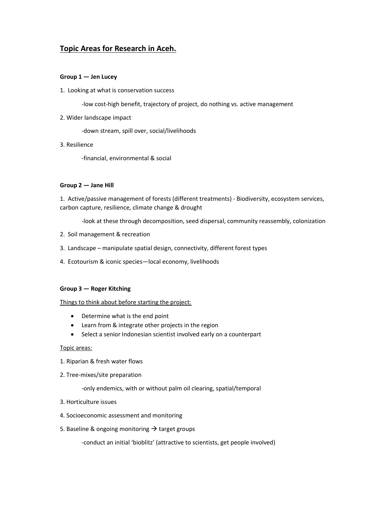# Topic Areas for Research in Aceh.

# Group 1 — Jen Lucey

1. Looking at what is conservation success

-low cost-high benefit, trajectory of project, do nothing vs. active management

2. Wider landscape impact

-down stream, spill over, social/livelihoods

3. Resilience

-financial, environmental & social

#### Group 2 — Jane Hill

1. Active/passive management of forests (different treatments) - Biodiversity, ecosystem services, carbon capture, resilience, climate change & drought

-look at these through decomposition, seed dispersal, community reassembly, colonization

- 2. Soil management & recreation
- 3. Landscape manipulate spatial design, connectivity, different forest types
- 4. Ecotourism & iconic species—local economy, livelihoods

# Group 3 — Roger Kitching

# Things to think about before starting the project:

- Determine what is the end point
- Learn from & integrate other projects in the region
- Select a senior Indonesian scientist involved early on a counterpart

#### Topic areas:

- 1. Riparian & fresh water flows
- 2. Tree-mixes/site preparation

-only endemics, with or without palm oil clearing, spatial/temporal

- 3. Horticulture issues
- 4. Socioeconomic assessment and monitoring
- 5. Baseline & ongoing monitoring  $\rightarrow$  target groups

-conduct an initial 'bioblitz' (attractive to scientists, get people involved)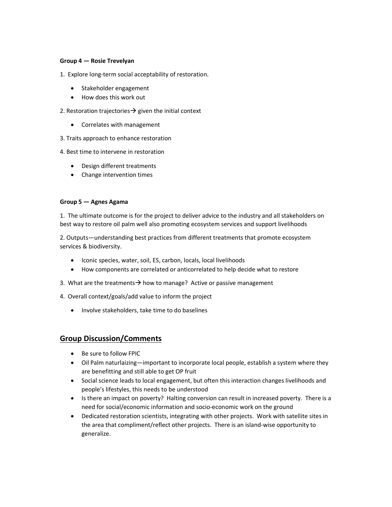# Group 4 — Rosie Trevelyan

1. Explore long-term social acceptability of restoration.

- Stakeholder engagement
- How does this work out
- 2. Restoration trajectories  $\rightarrow$  given the initial context
	- Correlates with management
- 3. Traits approach to enhance restoration
- 4. Best time to intervene in restoration
	- Design different treatments
	- Change intervention times

#### Group 5 — Agnes Agama

1. The ultimate outcome is for the project to deliver advice to the industry and all stakeholders on best way to restore oil palm well also promoting ecosystem services and support livelihoods

2. Outputs—understanding best practices from different treatments that promote ecosystem services & biodiversity.

- Iconic species, water, soil, ES, carbon, locals, local livelihoods
- How components are correlated or anticorrelated to help decide what to restore
- 3. What are the treatments  $\rightarrow$  how to manage? Active or passive management
- 4. Overall context/goals/add value to inform the project
	- Involve stakeholders, take time to do baselines

# Group Discussion/Comments

- Be sure to follow FPIC
- Oil Palm naturlaizing—important to incorporate local people, establish a system where they are benefitting and still able to get OP fruit
- Social science leads to local engagement, but often this interaction changes livelihoods and people's lifestyles, this needs to be understood
- Is there an impact on poverty? Halting conversion can result in increased poverty. There is a need for social/economic information and socio-economic work on the ground
- Dedicated restoration scientists, integrating with other projects. Work with satellite sites in the area that compliment/reflect other projects. There is an island-wise opportunity to generalize.